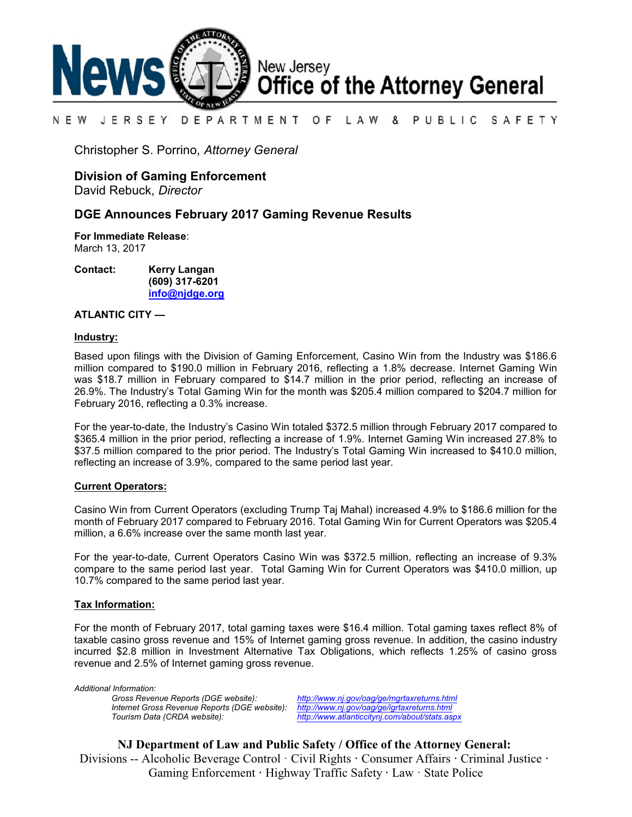

#### PUBLIC SAFETY N E W JERSEY DEPARTMENT O F L A W &

Christopher S. Porrino, *Attorney General*

# **Division of Gaming Enforcement**

David Rebuck, *Director*

# **DGE Announces February 2017 Gaming Revenue Results**

**For Immediate Release**: March 13, 2017

**Contact: Kerry Langan (609) 317-6201 [info@njdge.org](file:///|//info@njdge.org)**

#### **ATLANTIC CITY —**

#### **Industry:**

Based upon filings with the Division of Gaming Enforcement, Casino Win from the Industry was \$186.6 million compared to \$190.0 million in February 2016, reflecting a 1.8% decrease. Internet Gaming Win was \$18.7 million in February compared to \$14.7 million in the prior period, reflecting an increase of 26.9%. The Industry's Total Gaming Win for the month was \$205.4 million compared to \$204.7 million for February 2016, reflecting a 0.3% increase.

For the year-to-date, the Industry's Casino Win totaled \$372.5 million through February 2017 compared to \$365.4 million in the prior period, reflecting a increase of 1.9%. Internet Gaming Win increased 27.8% to \$37.5 million compared to the prior period. The Industry's Total Gaming Win increased to \$410.0 million, reflecting an increase of 3.9%, compared to the same period last year.

### **Current Operators:**

Casino Win from Current Operators (excluding Trump Taj Mahal) increased 4.9% to \$186.6 million for the month of February 2017 compared to February 2016. Total Gaming Win for Current Operators was \$205.4 million, a 6.6% increase over the same month last year.

For the year-to-date, Current Operators Casino Win was \$372.5 million, reflecting an increase of 9.3% compare to the same period last year. Total Gaming Win for Current Operators was \$410.0 million, up 10.7% compared to the same period last year.

### **Tax Information:**

For the month of February 2017, total gaming taxes were \$16.4 million. Total gaming taxes reflect 8% of taxable casino gross revenue and 15% of Internet gaming gross revenue. In addition, the casino industry incurred \$2.8 million in Investment Alternative Tax Obligations, which reflects 1.25% of casino gross revenue and 2.5% of Internet gaming gross revenue.

*Additional Information: Internet Gross Revenue Reports (DGE website):*<br>Tourism Data (CRDA website):

*Gross Revenue Reports (DGE website): <http://www.nj.gov/oag/ge/mgrtaxreturns.html> Tourism Data (CRDA website): <http://www.atlanticcitynj.com/about/stats.aspx>*

**NJ Department of Law and Public Safety / Office of the Attorney General:** Divisions -- Alcoholic Beverage Control · Civil Rights **·** Consumer Affairs **·** Criminal Justice **·**  Gaming Enforcement **·** Highway Traffic Safety **·** Law · State Police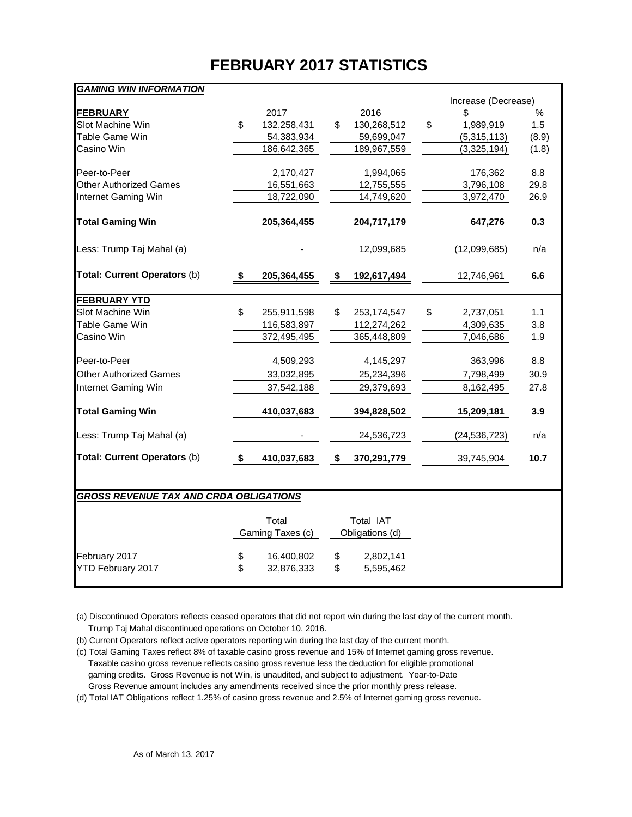# **FEBRUARY 2017 STATISTICS**

| <b>GAMING WIN INFORMATION</b>                 |                           |    |                           |                 |       |
|-----------------------------------------------|---------------------------|----|---------------------------|-----------------|-------|
|                                               |                           |    | Increase (Decrease)       |                 |       |
| <b>FEBRUARY</b>                               | \$<br>2017                |    | 2016                      | \$              | $\%$  |
| Slot Machine Win<br>Table Game Win            | 132,258,431<br>54,383,934 | \$ | 130,268,512<br>59,699,047 | \$<br>1,989,919 | 1.5   |
| Casino Win                                    |                           |    |                           | (5,315,113)     | (8.9) |
|                                               | 186,642,365               |    | 189,967,559               | (3,325,194)     | (1.8) |
| Peer-to-Peer                                  | 2,170,427                 |    | 1,994,065                 | 176,362         | 8.8   |
| <b>Other Authorized Games</b>                 | 16,551,663                |    | 12,755,555                | 3,796,108       | 29.8  |
| Internet Gaming Win                           | 18,722,090                |    | 14,749,620                | 3,972,470       | 26.9  |
| <b>Total Gaming Win</b>                       | 205,364,455               |    | 204,717,179               | 647,276         | 0.3   |
| Less: Trump Taj Mahal (a)                     |                           |    | 12,099,685                | (12,099,685)    | n/a   |
| Total: Current Operators (b)                  | \$<br>205,364,455         | \$ | 192,617,494               | 12,746,961      | 6.6   |
|                                               |                           |    |                           |                 |       |
| <b>FEBRUARY YTD</b>                           | \$                        |    |                           |                 |       |
| Slot Machine Win                              | 255,911,598               | \$ | 253, 174, 547             | \$<br>2,737,051 | 1.1   |
| Table Game Win                                | 116,583,897               |    | 112,274,262               | 4,309,635       | 3.8   |
| Casino Win                                    | 372,495,495               |    | 365,448,809               | 7,046,686       | 1.9   |
| Peer-to-Peer                                  | 4,509,293                 |    | 4,145,297                 | 363,996         | 8.8   |
| <b>Other Authorized Games</b>                 | 33,032,895                |    | 25,234,396                | 7,798,499       | 30.9  |
| Internet Gaming Win                           | 37,542,188                |    | 29,379,693                | 8,162,495       | 27.8  |
| <b>Total Gaming Win</b>                       | 410,037,683               |    | 394,828,502               | 15,209,181      | 3.9   |
| Less: Trump Taj Mahal (a)                     |                           |    | 24,536,723                | (24, 536, 723)  | n/a   |
| Total: Current Operators (b)                  | \$<br>410,037,683         | \$ | 370,291,779               | 39,745,904      | 10.7  |
|                                               |                           |    |                           |                 |       |
| <b>GROSS REVENUE TAX AND CRDA OBLIGATIONS</b> |                           |    |                           |                 |       |
|                                               | Total                     |    | Total IAT                 |                 |       |
|                                               | Gaming Taxes (c)          |    | Obligations (d)           |                 |       |
| February 2017                                 | \$<br>16,400,802          | \$ | 2,802,141                 |                 |       |
| YTD February 2017                             | \$<br>32,876,333          | \$ | 5,595,462                 |                 |       |
|                                               |                           |    |                           |                 |       |

(a) Discontinued Operators reflects ceased operators that did not report win during the last day of the current month. Trump Taj Mahal discontinued operations on October 10, 2016.

(b) Current Operators reflect active operators reporting win during the last day of the current month.

(c) Total Gaming Taxes reflect 8% of taxable casino gross revenue and 15% of Internet gaming gross revenue.

 Taxable casino gross revenue reflects casino gross revenue less the deduction for eligible promotional gaming credits. Gross Revenue is not Win, is unaudited, and subject to adjustment. Year-to-Date Gross Revenue amount includes any amendments received since the prior monthly press release.

(d) Total IAT Obligations reflect 1.25% of casino gross revenue and 2.5% of Internet gaming gross revenue.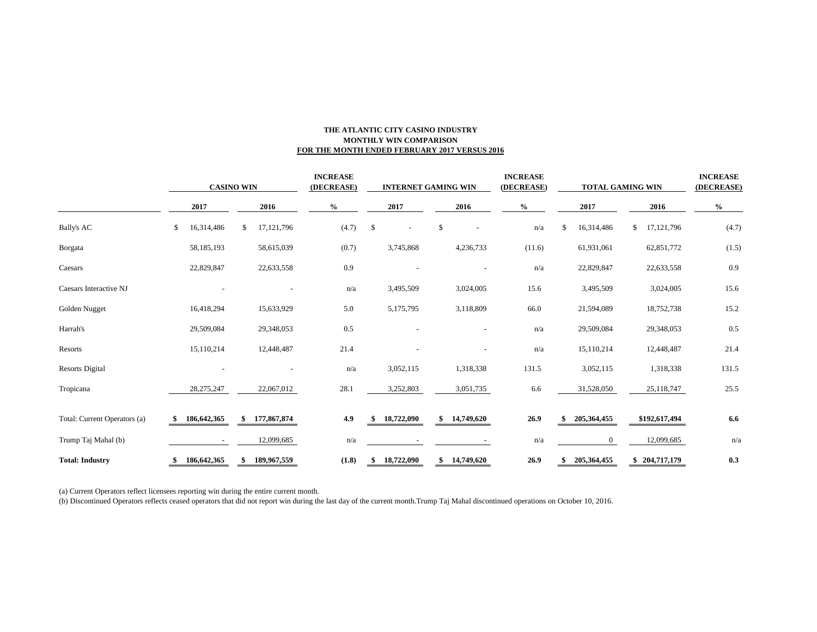#### **THE ATLANTIC CITY CASINO INDUSTRY MONTHLY WIN COMPARISON FOR THE MONTH ENDED FEBRUARY 2017 VERSUS 2016**

|                              | <b>CASINO WIN</b> |               |      | <b>INCREASE</b><br>(DECREASE) |      | <b>INTERNET GAMING WIN</b> |      |            |      |            | <b>INCREASE</b><br>(DECREASE) | <b>TOTAL GAMING WIN</b> |      |                  |      | <b>INCREASE</b><br>(DECREASE) |       |  |
|------------------------------|-------------------|---------------|------|-------------------------------|------|----------------------------|------|------------|------|------------|-------------------------------|-------------------------|------|------------------|------|-------------------------------|-------|--|
|                              | 2017              |               | 2016 |                               | $\%$ |                            | 2017 |            | 2016 |            | $\%$                          |                         | 2017 |                  | 2016 |                               | $\%$  |  |
| <b>Bally's AC</b>            | \$                | 16,314,486    | \$   | 17, 121, 796                  |      | (4.7)                      | \$   |            | \$   |            |                               | n/a                     | \$   | 16,314,486       | \$   | 17, 121, 796                  | (4.7) |  |
| Borgata                      |                   | 58,185,193    |      | 58,615,039                    |      | (0.7)                      |      | 3,745,868  |      | 4,236,733  |                               | (11.6)                  |      | 61,931,061       |      | 62,851,772                    | (1.5) |  |
| Caesars                      |                   | 22,829,847    |      | 22,633,558                    |      | 0.9                        |      |            |      |            |                               | n/a                     |      | 22,829,847       |      | 22,633,558                    | 0.9   |  |
| Caesars Interactive NJ       |                   |               |      |                               |      | n/a                        |      | 3,495,509  |      | 3,024,005  |                               | 15.6                    |      | 3,495,509        |      | 3,024,005                     | 15.6  |  |
| Golden Nugget                |                   | 16,418,294    |      | 15,633,929                    |      | 5.0                        |      | 5,175,795  |      | 3,118,809  |                               | 66.0                    |      | 21,594,089       |      | 18,752,738                    | 15.2  |  |
| Harrah's                     |                   | 29,509,084    |      | 29,348,053                    |      | 0.5                        |      |            |      |            |                               | n/a                     |      | 29,509,084       |      | 29,348,053                    | 0.5   |  |
| Resorts                      |                   | 15,110,214    |      | 12,448,487                    |      | 21.4                       |      |            |      |            |                               | n/a                     |      | 15,110,214       |      | 12,448,487                    | 21.4  |  |
| <b>Resorts Digital</b>       |                   |               |      |                               |      | n/a                        |      | 3,052,115  |      | 1,318,338  |                               | 131.5                   |      | 3,052,115        |      | 1,318,338                     | 131.5 |  |
| Tropicana                    |                   | 28, 275, 247  |      | 22,067,012                    |      | 28.1                       |      | 3,252,803  |      | 3,051,735  |                               | 6.6                     |      | 31,528,050       |      | 25,118,747                    | 25.5  |  |
| Total: Current Operators (a) |                   | 186, 642, 365 |      | \$177,867,874                 |      | 4.9                        |      | 18,722,090 | \$   | 14,749,620 |                               | 26.9                    |      | 205,364,455      |      | \$192,617,494                 | 6.6   |  |
| Trump Taj Mahal (b)          |                   | $\sim$        |      | 12,099,685                    |      | n/a                        |      |            |      |            |                               | n/a                     |      | $\boldsymbol{0}$ |      | 12,099,685                    | n/a   |  |
| <b>Total: Industry</b>       |                   | 186, 642, 365 |      | 189,967,559                   |      | (1.8)                      |      | 18,722,090 | \$   | 14,749,620 |                               | 26.9                    |      | 205, 364, 455    |      | \$204,717,179                 | 0.3   |  |

(a) Current Operators reflect licensees reporting win during the entire current month.

(b) Discontinued Operators reflects ceased operators that did not report win during the last day of the current month.Trump Taj Mahal discontinued operations on October 10, 2016.